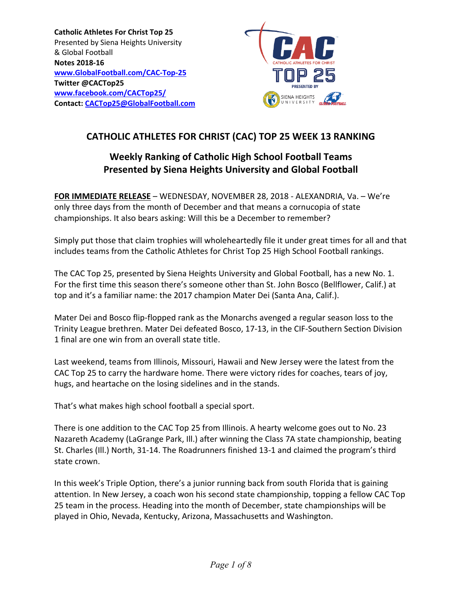**Catholic Athletes For Christ Top 25**  Presented by Siena Heights University & Global Football **Notes 2018‐16 www.GlobalFootball.com/CAC‐Top‐25 Twitter @CACTop25 www.facebook.com/CACTop25/ Contact: CACTop25@GlobalFootball.com** 



# **CATHOLIC ATHLETES FOR CHRIST (CAC) TOP 25 WEEK 13 RANKING**

# **Weekly Ranking of Catholic High School Football Teams Presented by Siena Heights University and Global Football**

**FOR IMMEDIATE RELEASE** – WEDNESDAY, NOVEMBER 28, 2018 ‐ ALEXANDRIA, Va. – We're only three days from the month of December and that means a cornucopia of state championships. It also bears asking: Will this be a December to remember?

Simply put those that claim trophies will wholeheartedly file it under great times for all and that includes teams from the Catholic Athletes for Christ Top 25 High School Football rankings.

The CAC Top 25, presented by Siena Heights University and Global Football, has a new No. 1. For the first time this season there's someone other than St. John Bosco (Bellflower, Calif.) at top and it's a familiar name: the 2017 champion Mater Dei (Santa Ana, Calif.).

Mater Dei and Bosco flip‐flopped rank as the Monarchs avenged a regular season loss to the Trinity League brethren. Mater Dei defeated Bosco, 17‐13, in the CIF‐Southern Section Division 1 final are one win from an overall state title.

Last weekend, teams from Illinois, Missouri, Hawaii and New Jersey were the latest from the CAC Top 25 to carry the hardware home. There were victory rides for coaches, tears of joy, hugs, and heartache on the losing sidelines and in the stands.

That's what makes high school football a special sport.

There is one addition to the CAC Top 25 from Illinois. A hearty welcome goes out to No. 23 Nazareth Academy (LaGrange Park, Ill.) after winning the Class 7A state championship, beating St. Charles (Ill.) North, 31‐14. The Roadrunners finished 13‐1 and claimed the program's third state crown.

In this week's Triple Option, there's a junior running back from south Florida that is gaining attention. In New Jersey, a coach won his second state championship, topping a fellow CAC Top 25 team in the process. Heading into the month of December, state championships will be played in Ohio, Nevada, Kentucky, Arizona, Massachusetts and Washington.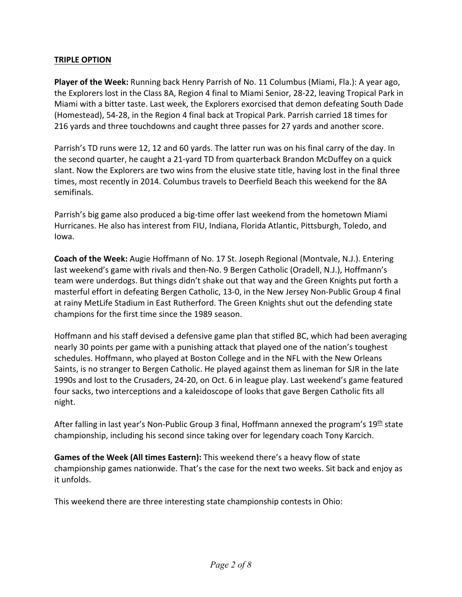## **TRIPLE OPTION**

**Player of the Week:** Running back Henry Parrish of No. 11 Columbus (Miami, Fla.): A year ago, the Explorers lost in the Class 8A, Region 4 final to Miami Senior, 28‐22, leaving Tropical Park in Miami with a bitter taste. Last week, the Explorers exorcised that demon defeating South Dade (Homestead), 54‐28, in the Region 4 final back at Tropical Park. Parrish carried 18 times for 216 yards and three touchdowns and caught three passes for 27 yards and another score.

Parrish's TD runs were 12, 12 and 60 yards. The latter run was on his final carry of the day. In the second quarter, he caught a 21‐yard TD from quarterback Brandon McDuffey on a quick slant. Now the Explorers are two wins from the elusive state title, having lost in the final three times, most recently in 2014. Columbus travels to Deerfield Beach this weekend for the 8A semifinals.

Parrish's big game also produced a big-time offer last weekend from the hometown Miami Hurricanes. He also has interest from FIU, Indiana, Florida Atlantic, Pittsburgh, Toledo, and Iowa.

**Coach of the Week:** Augie Hoffmann of No. 17 St. Joseph Regional (Montvale, N.J.). Entering last weekend's game with rivals and then‐No. 9 Bergen Catholic (Oradell, N.J.), Hoffmann's team were underdogs. But things didn't shake out that way and the Green Knights put forth a masterful effort in defeating Bergen Catholic, 13-0, in the New Jersey Non-Public Group 4 final at rainy MetLife Stadium in East Rutherford. The Green Knights shut out the defending state champions for the first time since the 1989 season.

Hoffmann and his staff devised a defensive game plan that stifled BC, which had been averaging nearly 30 points per game with a punishing attack that played one of the nation's toughest schedules. Hoffmann, who played at Boston College and in the NFL with the New Orleans Saints, is no stranger to Bergen Catholic. He played against them as lineman for SJR in the late 1990s and lost to the Crusaders, 24‐20, on Oct. 6 in league play. Last weekend's game featured four sacks, two interceptions and a kaleidoscope of looks that gave Bergen Catholic fits all night.

After falling in last year's Non-Public Group 3 final, Hoffmann annexed the program's  $19<sup>th</sup>$  state championship, including his second since taking over for legendary coach Tony Karcich.

**Games of the Week (All times Eastern):** This weekend there's a heavy flow of state championship games nationwide. That's the case for the next two weeks. Sit back and enjoy as it unfolds.

This weekend there are three interesting state championship contests in Ohio: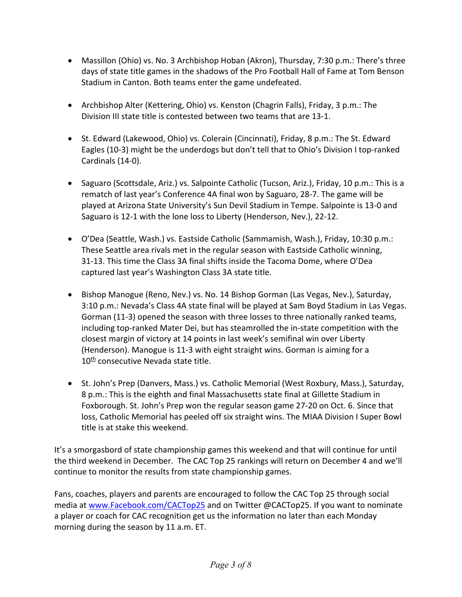- Massillon (Ohio) vs. No. 3 Archbishop Hoban (Akron), Thursday, 7:30 p.m.: There's three days of state title games in the shadows of the Pro Football Hall of Fame at Tom Benson Stadium in Canton. Both teams enter the game undefeated.
- Archbishop Alter (Kettering, Ohio) vs. Kenston (Chagrin Falls), Friday, 3 p.m.: The Division III state title is contested between two teams that are 13‐1.
- St. Edward (Lakewood, Ohio) vs. Colerain (Cincinnati), Friday, 8 p.m.: The St. Edward Eagles (10‐3) might be the underdogs but don't tell that to Ohio's Division I top‐ranked Cardinals (14‐0).
- Saguaro (Scottsdale, Ariz.) vs. Salpointe Catholic (Tucson, Ariz.), Friday, 10 p.m.: This is a rematch of last year's Conference 4A final won by Saguaro, 28‐7. The game will be played at Arizona State University's Sun Devil Stadium in Tempe. Salpointe is 13‐0 and Saguaro is 12‐1 with the lone loss to Liberty (Henderson, Nev.), 22‐12.
- O'Dea (Seattle, Wash.) vs. Eastside Catholic (Sammamish, Wash.), Friday, 10:30 p.m.: These Seattle area rivals met in the regular season with Eastside Catholic winning, 31‐13. This time the Class 3A final shifts inside the Tacoma Dome, where O'Dea captured last year's Washington Class 3A state title.
- Bishop Manogue (Reno, Nev.) vs. No. 14 Bishop Gorman (Las Vegas, Nev.), Saturday, 3:10 p.m.: Nevada's Class 4A state final will be played at Sam Boyd Stadium in Las Vegas. Gorman (11‐3) opened the season with three losses to three nationally ranked teams, including top‐ranked Mater Dei, but has steamrolled the in‐state competition with the closest margin of victory at 14 points in last week's semifinal win over Liberty (Henderson). Manogue is 11‐3 with eight straight wins. Gorman is aiming for a 10<sup>th</sup> consecutive Nevada state title.
- St. John's Prep (Danvers, Mass.) vs. Catholic Memorial (West Roxbury, Mass.), Saturday, 8 p.m.: This is the eighth and final Massachusetts state final at Gillette Stadium in Foxborough. St. John's Prep won the regular season game 27‐20 on Oct. 6. Since that loss, Catholic Memorial has peeled off six straight wins. The MIAA Division I Super Bowl title is at stake this weekend.

It's a smorgasbord of state championship games this weekend and that will continue for until the third weekend in December. The CAC Top 25 rankings will return on December 4 and we'll continue to monitor the results from state championship games.

Fans, coaches, players and parents are encouraged to follow the CAC Top 25 through social media at www.Facebook.com/CACTop25 and on Twitter @CACTop25. If you want to nominate a player or coach for CAC recognition get us the information no later than each Monday morning during the season by 11 a.m. ET.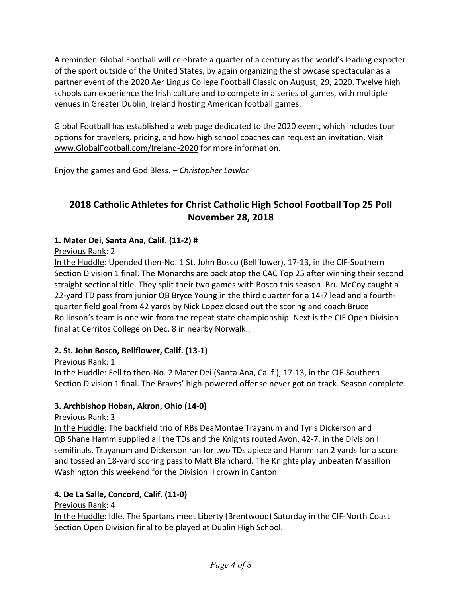A reminder: Global Football will celebrate a quarter of a century as the world's leading exporter of the sport outside of the United States, by again organizing the showcase spectacular as a partner event of the 2020 Aer Lingus College Football Classic on August, 29, 2020. Twelve high schools can experience the Irish culture and to compete in a series of games, with multiple venues in Greater Dublin, Ireland hosting American football games.

Global Football has established a web page dedicated to the 2020 event, which includes tour options for travelers, pricing, and how high school coaches can request an invitation. Visit www.GlobalFootball.com/Ireland‐2020 for more information.

Enjoy the games and God Bless. *– Christopher Lawlor*

# **2018 Catholic Athletes for Christ Catholic High School Football Top 25 Poll November 28, 2018**

## **1. Mater Dei, Santa Ana, Calif. (11‐2) #**

Previous Rank: 2

In the Huddle: Upended then‐No. 1 St. John Bosco (Bellflower), 17‐13, in the CIF‐Southern Section Division 1 final. The Monarchs are back atop the CAC Top 25 after winning their second straight sectional title. They split their two games with Bosco this season. Bru McCoy caught a 22‐yard TD pass from junior QB Bryce Young in the third quarter for a 14‐7 lead and a fourth‐ quarter field goal from 42 yards by Nick Lopez closed out the scoring and coach Bruce Rollinson's team is one win from the repeat state championship. Next is the CIF Open Division final at Cerritos College on Dec. 8 in nearby Norwalk..

# **2. St. John Bosco, Bellflower, Calif. (13‐1)**

Previous Rank: 1

In the Huddle: Fell to then‐No. 2 Mater Dei (Santa Ana, Calif.), 17‐13, in the CIF‐Southern Section Division 1 final. The Braves' high‐powered offense never got on track. Season complete.

## **3. Archbishop Hoban, Akron, Ohio (14‐0)**

Previous Rank: 3

In the Huddle: The backfield trio of RBs DeaMontae Trayanum and Tyris Dickerson and QB Shane Hamm supplied all the TDs and the Knights routed Avon, 42‐7, in the Division II semifinals. Trayanum and Dickerson ran for two TDs apiece and Hamm ran 2 yards for a score and tossed an 18‐yard scoring pass to Matt Blanchard. The Knights play unbeaten Massillon Washington this weekend for the Division II crown in Canton.

## **4. De La Salle, Concord, Calif. (11‐0)**

Previous Rank: 4

In the Huddle: Idle. The Spartans meet Liberty (Brentwood) Saturday in the CIF‐North Coast Section Open Division final to be played at Dublin High School.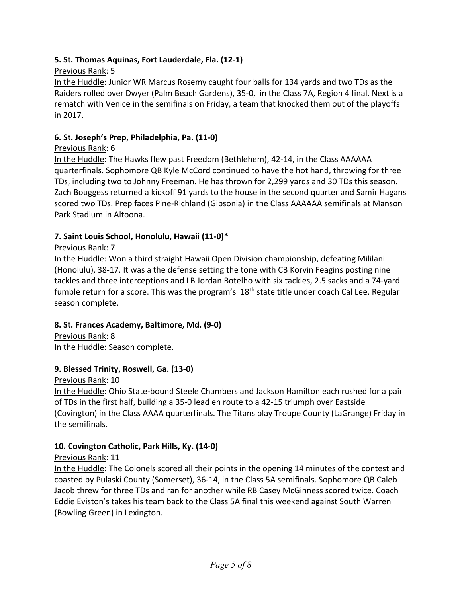## **5. St. Thomas Aquinas, Fort Lauderdale, Fla. (12‐1)**

## Previous Rank: 5

In the Huddle: Junior WR Marcus Rosemy caught four balls for 134 yards and two TDs as the Raiders rolled over Dwyer (Palm Beach Gardens), 35‐0, in the Class 7A, Region 4 final. Next is a rematch with Venice in the semifinals on Friday, a team that knocked them out of the playoffs in 2017.

## **6. St. Joseph's Prep, Philadelphia, Pa. (11‐0)**

## Previous Rank: 6

In the Huddle: The Hawks flew past Freedom (Bethlehem), 42‐14, in the Class AAAAAA quarterfinals. Sophomore QB Kyle McCord continued to have the hot hand, throwing for three TDs, including two to Johnny Freeman. He has thrown for 2,299 yards and 30 TDs this season. Zach Bouggess returned a kickoff 91 yards to the house in the second quarter and Samir Hagans scored two TDs. Prep faces Pine‐Richland (Gibsonia) in the Class AAAAAA semifinals at Manson Park Stadium in Altoona.

## **7. Saint Louis School, Honolulu, Hawaii (11‐0)\***

## Previous Rank: 7

In the Huddle: Won a third straight Hawaii Open Division championship, defeating Mililani (Honolulu), 38‐17. It was a the defense setting the tone with CB Korvin Feagins posting nine tackles and three interceptions and LB Jordan Botelho with six tackles, 2.5 sacks and a 74‐yard fumble return for a score. This was the program's  $18<sup>th</sup>$  state title under coach Cal Lee. Regular season complete.

## **8. St. Frances Academy, Baltimore, Md. (9‐0)**

Previous Rank: 8 In the Huddle: Season complete.

## **9. Blessed Trinity, Roswell, Ga. (13‐0)**

Previous Rank: 10

In the Huddle: Ohio State‐bound Steele Chambers and Jackson Hamilton each rushed for a pair of TDs in the first half, building a 35‐0 lead en route to a 42‐15 triumph over Eastside (Covington) in the Class AAAA quarterfinals. The Titans play Troupe County (LaGrange) Friday in the semifinals.

# **10. Covington Catholic, Park Hills, Ky. (14‐0)**

# Previous Rank: 11

In the Huddle: The Colonels scored all their points in the opening 14 minutes of the contest and coasted by Pulaski County (Somerset), 36‐14, in the Class 5A semifinals. Sophomore QB Caleb Jacob threw for three TDs and ran for another while RB Casey McGinness scored twice. Coach Eddie Eviston's takes his team back to the Class 5A final this weekend against South Warren (Bowling Green) in Lexington.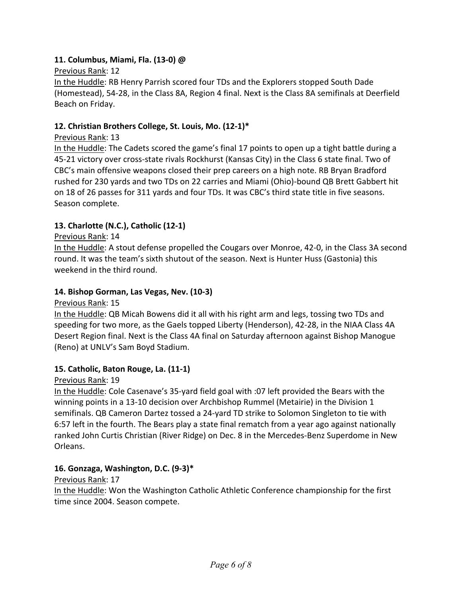## **11. Columbus, Miami, Fla. (13‐0) @**

#### Previous Rank: 12

In the Huddle: RB Henry Parrish scored four TDs and the Explorers stopped South Dade (Homestead), 54‐28, in the Class 8A, Region 4 final. Next is the Class 8A semifinals at Deerfield Beach on Friday.

## **12. Christian Brothers College, St. Louis, Mo. (12‐1)\***

## Previous Rank: 13

In the Huddle: The Cadets scored the game's final 17 points to open up a tight battle during a 45‐21 victory over cross‐state rivals Rockhurst (Kansas City) in the Class 6 state final. Two of CBC's main offensive weapons closed their prep careers on a high note. RB Bryan Bradford rushed for 230 yards and two TDs on 22 carries and Miami (Ohio)‐bound QB Brett Gabbert hit on 18 of 26 passes for 311 yards and four TDs. It was CBC's third state title in five seasons. Season complete.

## **13. Charlotte (N.C.), Catholic (12‐1)**

## Previous Rank: 14

In the Huddle: A stout defense propelled the Cougars over Monroe, 42‐0, in the Class 3A second round. It was the team's sixth shutout of the season. Next is Hunter Huss (Gastonia) this weekend in the third round.

#### **14. Bishop Gorman, Las Vegas, Nev. (10‐3)**

Previous Rank: 15

In the Huddle: QB Micah Bowens did it all with his right arm and legs, tossing two TDs and speeding for two more, as the Gaels topped Liberty (Henderson), 42‐28, in the NIAA Class 4A Desert Region final. Next is the Class 4A final on Saturday afternoon against Bishop Manogue (Reno) at UNLV's Sam Boyd Stadium.

## **15. Catholic, Baton Rouge, La. (11‐1)**

## Previous Rank: 19

In the Huddle: Cole Casenave's 35‐yard field goal with :07 left provided the Bears with the winning points in a 13‐10 decision over Archbishop Rummel (Metairie) in the Division 1 semifinals. QB Cameron Dartez tossed a 24‐yard TD strike to Solomon Singleton to tie with 6:57 left in the fourth. The Bears play a state final rematch from a year ago against nationally ranked John Curtis Christian (River Ridge) on Dec. 8 in the Mercedes‐Benz Superdome in New Orleans.

## **16. Gonzaga, Washington, D.C. (9‐3)\***

Previous Rank: 17 In the Huddle: Won the Washington Catholic Athletic Conference championship for the first time since 2004. Season compete.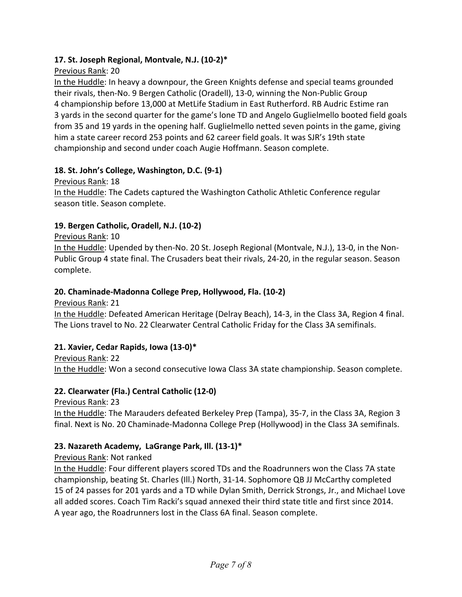## **17. St. Joseph Regional, Montvale, N.J. (10‐2)\***

## Previous Rank: 20

In the Huddle: In heavy a downpour, the Green Knights defense and special teams grounded their rivals, then‐No. 9 Bergen Catholic (Oradell), 13‐0, winning the Non‐Public Group 4 championship before 13,000 at MetLife Stadium in East Rutherford. RB Audric Estime ran 3 yards in the second quarter for the game's lone TD and Angelo Guglielmello booted field goals from 35 and 19 yards in the opening half. Guglielmello netted seven points in the game, giving him a state career record 253 points and 62 career field goals. It was SJR's 19th state championship and second under coach Augie Hoffmann. Season complete.

## **18. St. John's College, Washington, D.C. (9‐1)**

Previous Rank: 18 In the Huddle: The Cadets captured the Washington Catholic Athletic Conference regular season title. Season complete.

## **19. Bergen Catholic, Oradell, N.J. (10‐2)**

## Previous Rank: 10

In the Huddle: Upended by then‐No. 20 St. Joseph Regional (Montvale, N.J.), 13‐0, in the Non‐ Public Group 4 state final. The Crusaders beat their rivals, 24‐20, in the regular season. Season complete.

## **20. Chaminade‐Madonna College Prep, Hollywood, Fla. (10‐2)**

Previous Rank: 21

In the Huddle: Defeated American Heritage (Delray Beach), 14‐3, in the Class 3A, Region 4 final. The Lions travel to No. 22 Clearwater Central Catholic Friday for the Class 3A semifinals.

## **21. Xavier, Cedar Rapids, Iowa (13‐0)\***

Previous Rank: 22 In the Huddle: Won a second consecutive Iowa Class 3A state championship. Season complete.

## **22. Clearwater (Fla.) Central Catholic (12‐0)**

Previous Rank: 23

In the Huddle: The Marauders defeated Berkeley Prep (Tampa), 35‐7, in the Class 3A, Region 3 final. Next is No. 20 Chaminade‐Madonna College Prep (Hollywood) in the Class 3A semifinals.

# **23. Nazareth Academy, LaGrange Park, Ill. (13‐1)\***

## Previous Rank: Not ranked

In the Huddle: Four different players scored TDs and the Roadrunners won the Class 7A state championship, beating St. Charles (Ill.) North, 31‐14. Sophomore QB JJ McCarthy completed 15 of 24 passes for 201 yards and a TD while Dylan Smith, Derrick Strongs, Jr., and Michael Love all added scores. Coach Tim Racki's squad annexed their third state title and first since 2014. A year ago, the Roadrunners lost in the Class 6A final. Season complete.